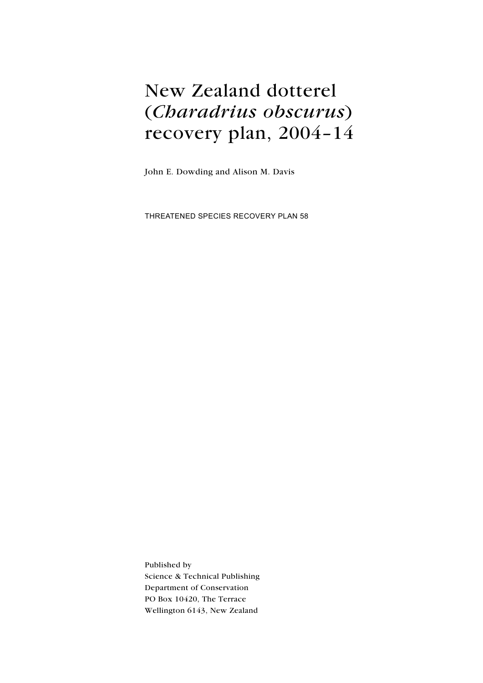# New Zealand dotterel (Charadrius obscurus) recovery plan, 2004–14

John E. Dowding and Alison M. Davis

Threatened Species Recovery Plan 58

Published by Science & Technical Publishing Department of Conservation PO Box 10420, The Terrace Wellington 6143, New Zealand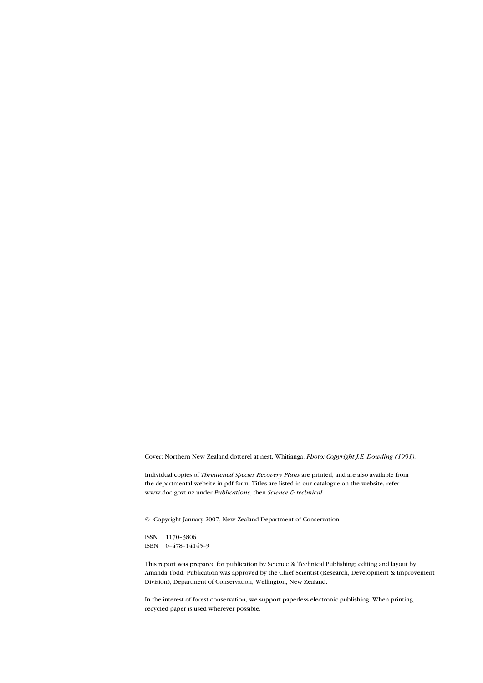Cover: Northern New Zealand dotterel at nest, Whitianga. Photo: Copyright J.E. Dowding (1991).

Individual copies of Threatened Species Recovery Plans are printed, and are also available from the departmental website in pdf form. Titles are listed in our catalogue on the website, refer www.doc.govt.nz under Publications, then Science & technical.

© Copyright January 2007, New Zealand Department of Conservation

ISSN 1170–3806 ISBN 0–478–14145–9

This report was prepared for publication by Science & Technical Publishing; editing and layout by Amanda Todd. Publication was approved by the Chief Scientist (Research, Development & Improvement Division), Department of Conservation, Wellington, New Zealand.

In the interest of forest conservation, we support paperless electronic publishing. When printing, recycled paper is used wherever possible.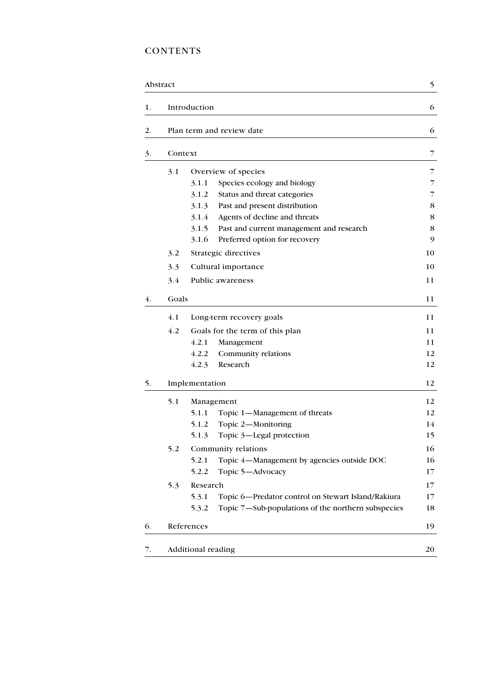## **CONTENTS**

|    | Abstract |                                                             | 5           |
|----|----------|-------------------------------------------------------------|-------------|
| 1. |          | Introduction                                                | 6           |
| 2. |          | Plan term and review date                                   | 6           |
| 3. | Context  |                                                             | 7           |
|    | 3.1      | Overview of species                                         | 7           |
|    |          | Species ecology and biology<br>3.1.1                        | 7           |
|    |          | 3.1.2<br>Status and threat categories                       | 7           |
|    |          | 3.1.3<br>Past and present distribution                      | 8           |
|    |          | 3.1.4<br>Agents of decline and threats                      | $\,$ 8 $\,$ |
|    |          | 3.1.5<br>Past and current management and research           | 8           |
|    |          | 3.1.6<br>Preferred option for recovery                      | 9           |
|    | 3.2      | Strategic directives                                        | 10          |
|    | 3.3      | Cultural importance                                         | 10          |
|    | 3.4      | Public awareness                                            | 11          |
| 4. | Goals    |                                                             | 11          |
|    | 4.1      | Long-term recovery goals                                    | 11          |
|    | 4.2      | Goals for the term of this plan                             | 11          |
|    |          | 4.2.1<br>Management                                         | 11          |
|    |          | 4.2.2<br>Community relations                                | 12          |
|    |          | 4.2.3<br>Research                                           | 12          |
| 5. |          | Implementation                                              | 12          |
|    | 5.1      | Management                                                  | 12          |
|    |          | 5.1.1<br>Topic 1-Management of threats                      | 12          |
|    |          | Topic 2-Monitoring<br>5.1.2                                 | 14          |
|    |          | Topic 3-Legal protection<br>5.1.3                           | 15          |
|    | 5.2      | Community relations                                         | 16          |
|    |          | 5.2.1<br>Topic 4-Management by agencies outside DOC         | 16          |
|    |          | 5.2.2<br>Topic 5-Advocacy                                   | 17          |
|    | 5.3      | Research                                                    | 17          |
|    |          | Topic 6-Predator control on Stewart Island/Rakiura<br>5.3.1 | 17          |
|    |          | Topic 7—Sub-populations of the northern subspecies<br>5.3.2 | 18          |
| 6. |          | References                                                  | 19          |
| 7. |          | Additional reading                                          | 20          |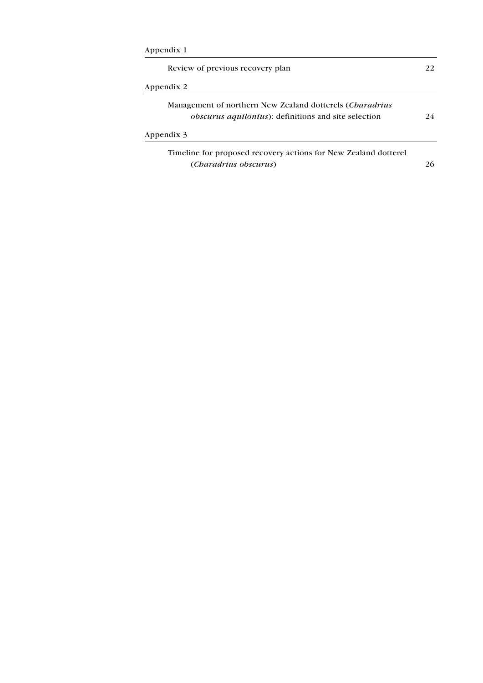| Appendix 1 |
|------------|
|------------|

| Management of northern New Zealand dotterels ( <i>Charadrius</i> |    |
|------------------------------------------------------------------|----|
| <i>obscurus aquilonius</i> ): definitions and site selection     | 24 |
| Appendix 3                                                       |    |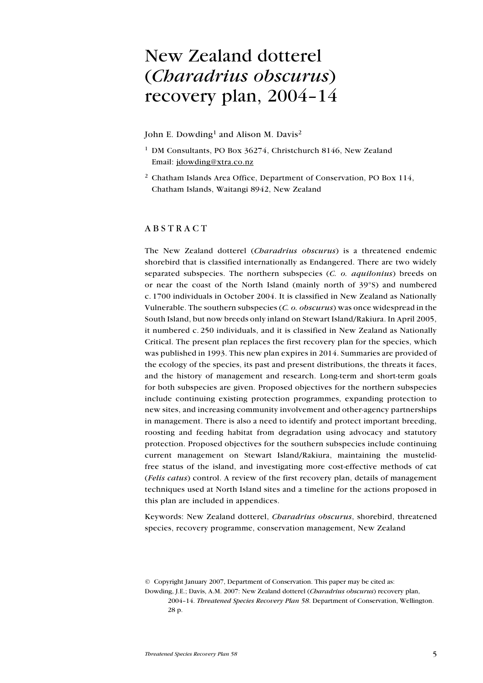## New Zealand dotterel (Charadrius obscurus) recovery plan, 2004–14

John E. Dowding<sup>1</sup> and Alison M. Davis<sup>2</sup>

- <sup>1</sup> DM Consultants, PO Box 36274, Christchurch 8146, New Zealand Email: jdowding@xtra.co.nz
- <sup>2</sup> Chatham Islands Area Office, Department of Conservation, PO Box 114, Chatham Islands, Waitangi 8942, New Zealand

### **ABSTRACT**

The New Zealand dotterel (Charadrius obscurus) is a threatened endemic shorebird that is classified internationally as Endangered. There are two widely separated subspecies. The northern subspecies  $(C. 0.$  *aquilonius*) breeds on or near the coast of the North Island (mainly north of 39°S) and numbered c. 1700 individuals in October 2004. It is classified in New Zealand as Nationally Vulnerable. The southern subspecies (C. o. obscurus) was once widespread in the South Island, but now breeds only inland on Stewart Island/Rakiura. In April 2005, it numbered c. 250 individuals, and it is classified in New Zealand as Nationally Critical. The present plan replaces the first recovery plan for the species, which was published in 1993. This new plan expires in 2014. Summaries are provided of the ecology of the species, its past and present distributions, the threats it faces, and the history of management and research. Long-term and short-term goals for both subspecies are given. Proposed objectives for the northern subspecies include continuing existing protection programmes, expanding protection to new sites, and increasing community involvement and other-agency partnerships in management. There is also a need to identify and protect important breeding, roosting and feeding habitat from degradation using advocacy and statutory protection. Proposed objectives for the southern subspecies include continuing current management on Stewart Island/Rakiura, maintaining the mustelidfree status of the island, and investigating more cost-effective methods of cat (Felis catus) control. A review of the first recovery plan, details of management techniques used at North Island sites and a timeline for the actions proposed in this plan are included in appendices.

Keywords: New Zealand dotterel, Charadrius obscurus, shorebird, threatened species, recovery programme, conservation management, New Zealand

2004–14. Threatened Species Recovery Plan 58. Department of Conservation, Wellington. 28 p.

<sup>©</sup> Copyright January 2007, Department of Conservation. This paper may be cited as:

Dowding, J.E.; Davis, A.M. 2007: New Zealand dotterel (Charadrius obscurus) recovery plan,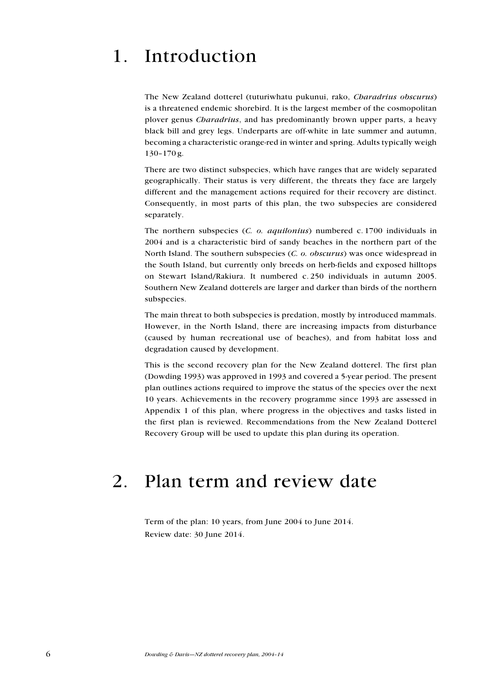## 1. Introduction

The New Zealand dotterel (tuturiwhatu pukunui, rako, Charadrius obscurus) is a threatened endemic shorebird. It is the largest member of the cosmopolitan plover genus *Charadrius*, and has predominantly brown upper parts, a heavy black bill and grey legs. Underparts are off-white in late summer and autumn, becoming a characteristic orange-red in winter and spring. Adults typically weigh 130–170 g.

There are two distinct subspecies, which have ranges that are widely separated geographically. Their status is very different, the threats they face are largely different and the management actions required for their recovery are distinct. Consequently, in most parts of this plan, the two subspecies are considered separately.

The northern subspecies (C. o. aquilonius) numbered c. 1700 individuals in 2004 and is a characteristic bird of sandy beaches in the northern part of the North Island. The southern subspecies (C. o. obscurus) was once widespread in the South Island, but currently only breeds on herb-fields and exposed hilltops on Stewart Island/Rakiura. It numbered c. 250 individuals in autumn 2005. Southern New Zealand dotterels are larger and darker than birds of the northern subspecies.

The main threat to both subspecies is predation, mostly by introduced mammals. However, in the North Island, there are increasing impacts from disturbance (caused by human recreational use of beaches), and from habitat loss and degradation caused by development.

This is the second recovery plan for the New Zealand dotterel. The first plan (Dowding 1993) was approved in 1993 and covered a 5-year period. The present plan outlines actions required to improve the status of the species over the next 10 years. Achievements in the recovery programme since 1993 are assessed in Appendix 1 of this plan, where progress in the objectives and tasks listed in the first plan is reviewed. Recommendations from the New Zealand Dotterel Recovery Group will be used to update this plan during its operation.

## 2. Plan term and review date

Term of the plan: 10 years, from June 2004 to June 2014. Review date: 30 June 2014.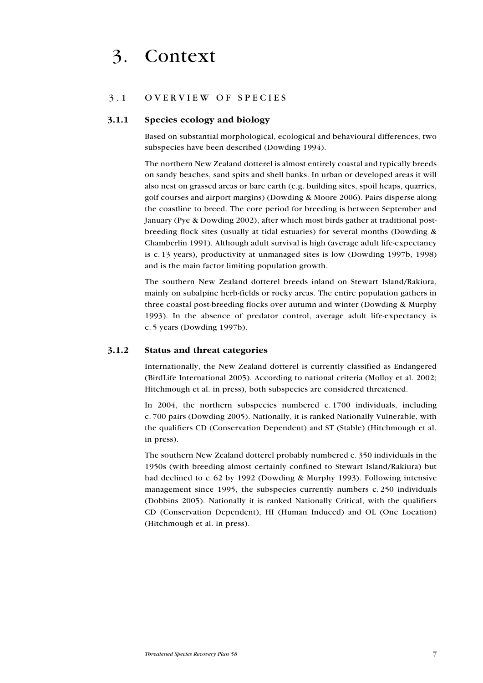## 3. Context

#### 3.1 OVERVIEW OF SPECIES

#### 3.1.1 Species ecology and biology

Based on substantial morphological, ecological and behavioural differences, two subspecies have been described (Dowding 1994).

The northern New Zealand dotterel is almost entirely coastal and typically breeds on sandy beaches, sand spits and shell banks. In urban or developed areas it will also nest on grassed areas or bare earth (e.g. building sites, spoil heaps, quarries, golf courses and airport margins) (Dowding & Moore 2006). Pairs disperse along the coastline to breed. The core period for breeding is between September and January (Pye & Dowding 2002), after which most birds gather at traditional postbreeding flock sites (usually at tidal estuaries) for several months (Dowding & Chamberlin 1991). Although adult survival is high (average adult life-expectancy is c. 13 years), productivity at unmanaged sites is low (Dowding 1997b, 1998) and is the main factor limiting population growth.

The southern New Zealand dotterel breeds inland on Stewart Island/Rakiura, mainly on subalpine herb-fields or rocky areas. The entire population gathers in three coastal post-breeding flocks over autumn and winter (Dowding & Murphy 1993). In the absence of predator control, average adult life-expectancy is c. 5 years (Dowding 1997b).

#### 3.1.2 Status and threat categories

Internationally, the New Zealand dotterel is currently classified as Endangered (BirdLife International 2005). According to national criteria (Molloy et al. 2002; Hitchmough et al. in press), both subspecies are considered threatened.

In 2004, the northern subspecies numbered c. 1700 individuals, including c. 700 pairs (Dowding 2005). Nationally, it is ranked Nationally Vulnerable, with the qualifiers CD (Conservation Dependent) and ST (Stable) (Hitchmough et al. in press).

The southern New Zealand dotterel probably numbered c. 350 individuals in the 1950s (with breeding almost certainly confined to Stewart Island/Rakiura) but had declined to c. 62 by 1992 (Dowding & Murphy 1993). Following intensive management since 1995, the subspecies currently numbers c. 250 individuals (Dobbins 2005). Nationally it is ranked Nationally Critical, with the qualifiers CD (Conservation Dependent), HI (Human Induced) and OL (One Location) (Hitchmough et al. in press).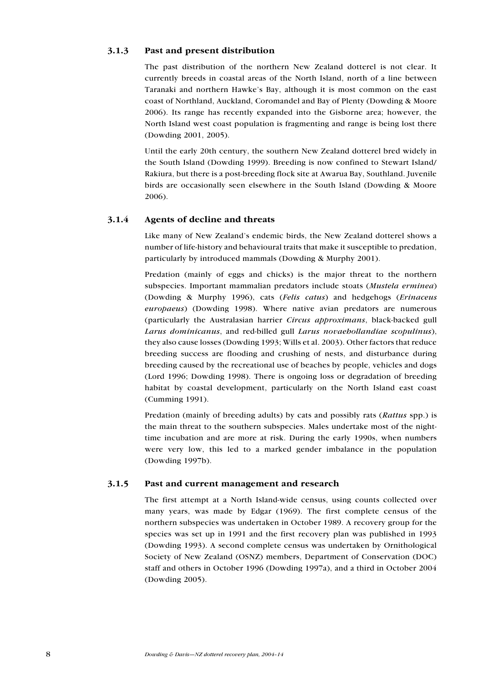### 3.1.3 Past and present distribution

The past distribution of the northern New Zealand dotterel is not clear. It currently breeds in coastal areas of the North Island, north of a line between Taranaki and northern Hawke's Bay, although it is most common on the east coast of Northland, Auckland, Coromandel and Bay of Plenty (Dowding & Moore 2006). Its range has recently expanded into the Gisborne area; however, the North Island west coast population is fragmenting and range is being lost there (Dowding 2001, 2005).

Until the early 20th century, the southern New Zealand dotterel bred widely in the South Island (Dowding 1999). Breeding is now confined to Stewart Island/ Rakiura, but there is a post-breeding flock site at Awarua Bay, Southland. Juvenile birds are occasionally seen elsewhere in the South Island (Dowding & Moore 2006).

## 3.1.4 Agents of decline and threats

Like many of New Zealand's endemic birds, the New Zealand dotterel shows a number of life-history and behavioural traits that make it susceptible to predation, particularly by introduced mammals (Dowding & Murphy 2001).

Predation (mainly of eggs and chicks) is the major threat to the northern subspecies. Important mammalian predators include stoats (Mustela erminea) (Dowding & Murphy 1996), cats (Felis catus) and hedgehogs (Erinaceus europaeus) (Dowding 1998). Where native avian predators are numerous (particularly the Australasian harrier Circus approximans, black-backed gull Larus dominicanus, and red-billed gull Larus novaehollandiae scopulinus), they also cause losses (Dowding 1993; Wills et al. 2003). Other factors that reduce breeding success are flooding and crushing of nests, and disturbance during breeding caused by the recreational use of beaches by people, vehicles and dogs (Lord 1996; Dowding 1998). There is ongoing loss or degradation of breeding habitat by coastal development, particularly on the North Island east coast (Cumming 1991).

Predation (mainly of breeding adults) by cats and possibly rats (Rattus spp.) is the main threat to the southern subspecies. Males undertake most of the nighttime incubation and are more at risk. During the early 1990s, when numbers were very low, this led to a marked gender imbalance in the population (Dowding 1997b).

## 3.1.5 Past and current management and research

The first attempt at a North Island-wide census, using counts collected over many years, was made by Edgar (1969). The first complete census of the northern subspecies was undertaken in October 1989. A recovery group for the species was set up in 1991 and the first recovery plan was published in 1993 (Dowding 1993). A second complete census was undertaken by Ornithological Society of New Zealand (OSNZ) members, Department of Conservation (DOC) staff and others in October 1996 (Dowding 1997a), and a third in October 2004 (Dowding 2005).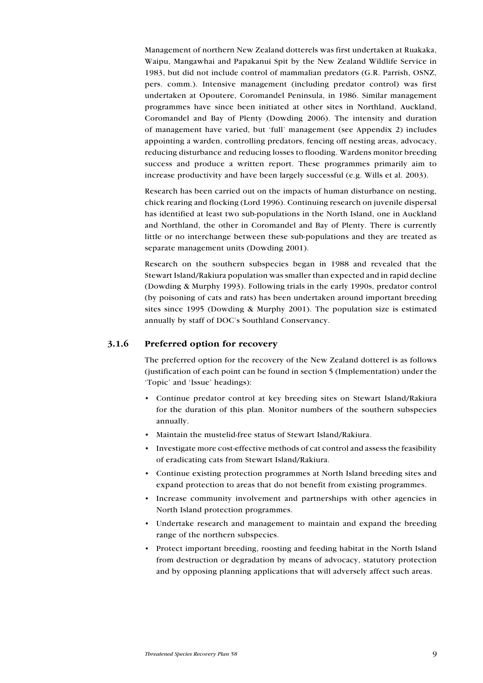Management of northern New Zealand dotterels was first undertaken at Ruakaka, Waipu, Mangawhai and Papakanui Spit by the New Zealand Wildlife Service in 1983, but did not include control of mammalian predators (G.R. Parrish, OSNZ, pers. comm.). Intensive management (including predator control) was first undertaken at Opoutere, Coromandel Peninsula, in 1986. Similar management programmes have since been initiated at other sites in Northland, Auckland, Coromandel and Bay of Plenty (Dowding 2006). The intensity and duration of management have varied, but 'full' management (see Appendix 2) includes appointing a warden, controlling predators, fencing off nesting areas, advocacy, reducing disturbance and reducing losses to flooding. Wardens monitor breeding success and produce a written report. These programmes primarily aim to increase productivity and have been largely successful (e.g. Wills et al. 2003).

Research has been carried out on the impacts of human disturbance on nesting, chick rearing and flocking (Lord 1996). Continuing research on juvenile dispersal has identified at least two sub-populations in the North Island, one in Auckland and Northland, the other in Coromandel and Bay of Plenty. There is currently little or no interchange between these sub-populations and they are treated as separate management units (Dowding 2001).

Research on the southern subspecies began in 1988 and revealed that the Stewart Island/Rakiura population was smaller than expected and in rapid decline (Dowding & Murphy 1993). Following trials in the early 1990s, predator control (by poisoning of cats and rats) has been undertaken around important breeding sites since 1995 (Dowding & Murphy 2001). The population size is estimated annually by staff of DOC's Southland Conservancy.

## 3.1.6 Preferred option for recovery

The preferred option for the recovery of the New Zealand dotterel is as follows (justification of each point can be found in section 5 (Implementation) under the 'Topic' and 'Issue' headings):

- Continue predator control at key breeding sites on Stewart Island/Rakiura for the duration of this plan. Monitor numbers of the southern subspecies annually.
- Maintain the mustelid-free status of Stewart Island/Rakiura.
- Investigate more cost-effective methods of cat control and assess the feasibility of eradicating cats from Stewart Island/Rakiura.
- Continue existing protection programmes at North Island breeding sites and expand protection to areas that do not benefit from existing programmes.
- Increase community involvement and partnerships with other agencies in North Island protection programmes.
- Undertake research and management to maintain and expand the breeding range of the northern subspecies.
- Protect important breeding, roosting and feeding habitat in the North Island from destruction or degradation by means of advocacy, statutory protection and by opposing planning applications that will adversely affect such areas.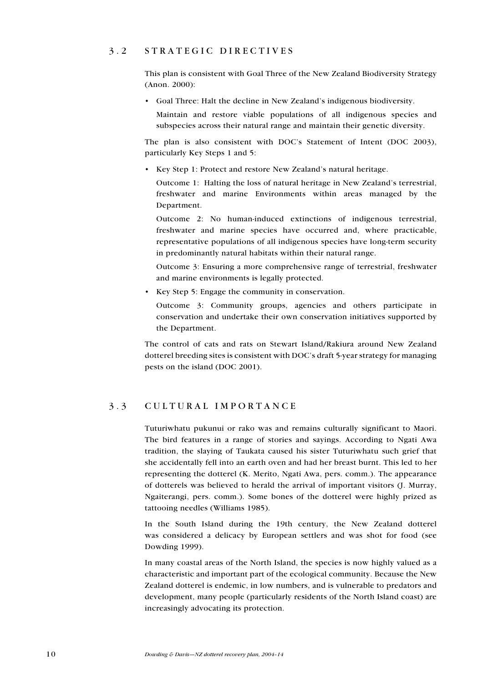## 3 . 2 S trategic directives

This plan is consistent with Goal Three of the New Zealand Biodiversity Strategy (Anon. 2000):

Goal Three: Halt the decline in New Zealand's indigenous biodiversity. •

Maintain and restore viable populations of all indigenous species and subspecies across their natural range and maintain their genetic diversity.

The plan is also consistent with DOC's Statement of Intent (DOC 2003), particularly Key Steps 1 and 5:

• Key Step 1: Protect and restore New Zealand's natural heritage.

Outcome 1: Halting the loss of natural heritage in New Zealand's terrestrial, freshwater and marine Environments within areas managed by the Department.

Outcome 2: No human-induced extinctions of indigenous terrestrial, freshwater and marine species have occurred and, where practicable, representative populations of all indigenous species have long-term security in predominantly natural habitats within their natural range.

Outcome 3: Ensuring a more comprehensive range of terrestrial, freshwater and marine environments is legally protected.

• Key Step 5: Engage the community in conservation.

Outcome 3: Community groups, agencies and others participate in conservation and undertake their own conservation initiatives supported by the Department.

The control of cats and rats on Stewart Island/Rakiura around New Zealand dotterel breeding sites is consistent with DOC's draft 5-year strategy for managing pests on the island (DOC 2001).

## 3 . 3 C ultural importance

Tuturiwhatu pukunui or rako was and remains culturally significant to Maori. The bird features in a range of stories and sayings. According to Ngati Awa tradition, the slaying of Taukata caused his sister Tuturiwhatu such grief that she accidentally fell into an earth oven and had her breast burnt. This led to her representing the dotterel (K. Merito, Ngati Awa, pers. comm.). The appearance of dotterels was believed to herald the arrival of important visitors (J. Murray, Ngaiterangi, pers. comm.). Some bones of the dotterel were highly prized as tattooing needles (Williams 1985).

In the South Island during the 19th century, the New Zealand dotterel was considered a delicacy by European settlers and was shot for food (see Dowding 1999).

In many coastal areas of the North Island, the species is now highly valued as a characteristic and important part of the ecological community. Because the New Zealand dotterel is endemic, in low numbers, and is vulnerable to predators and development, many people (particularly residents of the North Island coast) are increasingly advocating its protection.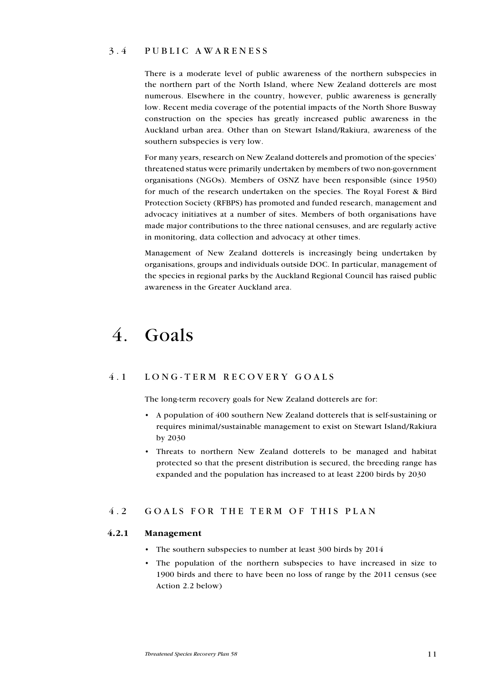## 3 . 4 P ublic awareness

There is a moderate level of public awareness of the northern subspecies in the northern part of the North Island, where New Zealand dotterels are most numerous. Elsewhere in the country, however, public awareness is generally low. Recent media coverage of the potential impacts of the North Shore Busway construction on the species has greatly increased public awareness in the Auckland urban area. Other than on Stewart Island/Rakiura, awareness of the southern subspecies is very low.

For many years, research on New Zealand dotterels and promotion of the species' threatened status were primarily undertaken by members of two non-government organisations (NGOs). Members of OSNZ have been responsible (since 1950) for much of the research undertaken on the species. The Royal Forest & Bird Protection Society (RFBPS) has promoted and funded research, management and advocacy initiatives at a number of sites. Members of both organisations have made major contributions to the three national censuses, and are regularly active in monitoring, data collection and advocacy at other times.

Management of New Zealand dotterels is increasingly being undertaken by organisations, groups and individuals outside DOC. In particular, management of the species in regional parks by the Auckland Regional Council has raised public awareness in the Greater Auckland area.

## 4. Goals

## 4.1 LONG-TERM RECOVERY GOALS

The long-term recovery goals for New Zealand dotterels are for:

- A population of 400 southern New Zealand dotterels that is self-sustaining or requires minimal/sustainable management to exist on Stewart Island/Rakiura by 2030
- Threats to northern New Zealand dotterels to be managed and habitat protected so that the present distribution is secured, the breeding range has expanded and the population has increased to at least 2200 birds by 2030

## 4.2 GOALS FOR THE TERM OF THIS PLAN

## 4.2.1 Management

- The southern subspecies to number at least 300 birds by 2014
- The population of the northern subspecies to have increased in size to 1900 birds and there to have been no loss of range by the 2011 census (see Action 2.2 below)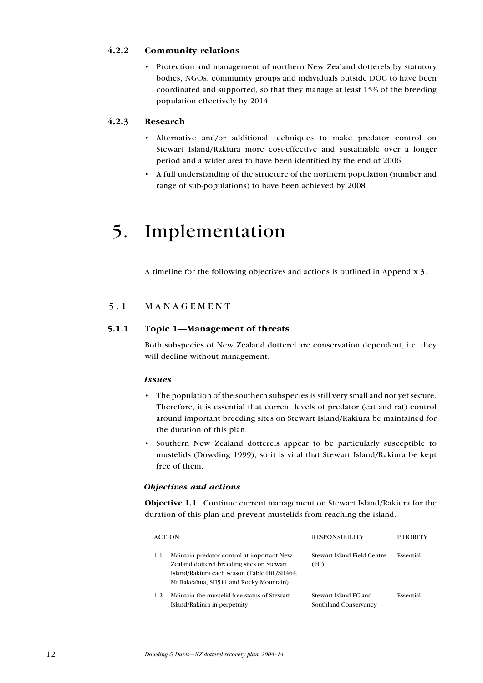## 4.2.2 Community relations

• Protection and management of northern New Zealand dotterels by statutory bodies, NGOs, community groups and individuals outside DOC to have been coordinated and supported, so that they manage at least 15% of the breeding population effectively by 2014

## 4.2.3 Research

- Alternative and/or additional techniques to make predator control on Stewart Island/Rakiura more cost-effective and sustainable over a longer period and a wider area to have been identified by the end of 2006 •
- A full understanding of the structure of the northern population (number and range of sub-populations) to have been achieved by 2008 •

## 5. Implementation

A timeline for the following objectives and actions is outlined in Appendix 3.

## 5.1 MANAGEMENT

## 5.1.1 Topic 1—Management of threats

Both subspecies of New Zealand dotterel are conservation dependent, i.e. they will decline without management.

#### Issues

- The population of the southern subspecies is still very small and not yet secure. Therefore, it is essential that current levels of predator (cat and rat) control around important breeding sites on Stewart Island/Rakiura be maintained for the duration of this plan.
- Southern New Zealand dotterels appear to be particularly susceptible to mustelids (Dowding 1999), so it is vital that Stewart Island/Rakiura be kept free of them.

#### Objectives and actions

Objective 1.1: Continue current management on Stewart Island/Rakiura for the duration of this plan and prevent mustelids from reaching the island.

| <b>ACTION</b>                                                                                                                                                                              | <b>RESPONSIBILITY</b>                          | PRIORITY  |
|--------------------------------------------------------------------------------------------------------------------------------------------------------------------------------------------|------------------------------------------------|-----------|
| Maintain predator control at important New<br>1.1<br>Zealand dotterel breeding sites on Stewart<br>Island/Rakiura each season (Table Hill/SH464,<br>Mt Rakeahua, SH511 and Rocky Mountain) | Stewart Island Field Centre<br>(FC)            | Essential |
| Maintain the mustelid-free status of Stewart<br>1.2<br>Island/Rakiura in perpetuity                                                                                                        | Stewart Island FC and<br>Southland Conservancy | Essential |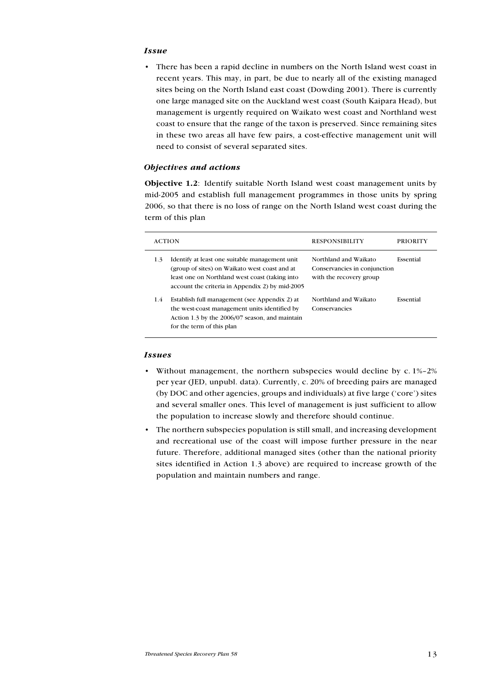#### **Issue**

There has been a rapid decline in numbers on the North Island west coast in recent years. This may, in part, be due to nearly all of the existing managed sites being on the North Island east coast (Dowding 2001). There is currently one large managed site on the Auckland west coast (South Kaipara Head), but management is urgently required on Waikato west coast and Northland west coast to ensure that the range of the taxon is preserved. Since remaining sites in these two areas all have few pairs, a cost-effective management unit will need to consist of several separated sites. •

#### Objectives and actions

Objective 1.2: Identify suitable North Island west coast management units by mid-2005 and establish full management programmes in those units by spring 2006, so that there is no loss of range on the North Island west coast during the term of this plan

| <b>ACTION</b>                                                                                                                                                                                               | <b>RESPONSIBILITY</b>                                                            | <b>PRIORITY</b> |
|-------------------------------------------------------------------------------------------------------------------------------------------------------------------------------------------------------------|----------------------------------------------------------------------------------|-----------------|
| Identify at least one suitable management unit<br>1.3<br>(group of sites) on Waikato west coast and at<br>least one on Northland west coast (taking into<br>account the criteria in Appendix 2) by mid-2005 | Northland and Waikato<br>Conservancies in conjunction<br>with the recovery group | Essential       |
| Establish full management (see Appendix 2) at<br>1.4<br>the west-coast management units identified by<br>Action 1.3 by the 2006/07 season, and maintain<br>for the term of this plan                        | Northland and Waikato<br>Conservancies                                           | Essential       |

#### Issues

- Without management, the northern subspecies would decline by c. 1%-2% per year (JED, unpubl. data). Currently, c. 20% of breeding pairs are managed (by DOC and other agencies, groups and individuals) at five large ('core') sites and several smaller ones. This level of management is just sufficient to allow the population to increase slowly and therefore should continue.
- The northern subspecies population is still small, and increasing development and recreational use of the coast will impose further pressure in the near future. Therefore, additional managed sites (other than the national priority sites identified in Action 1.3 above) are required to increase growth of the population and maintain numbers and range. •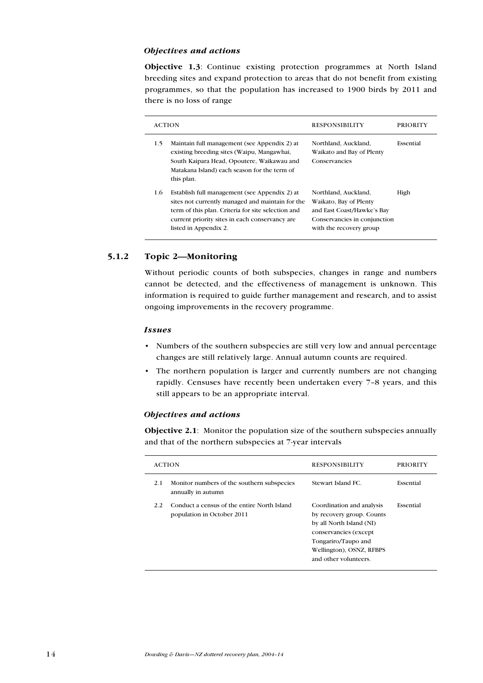#### Objectives and actions

Objective 1.3: Continue existing protection programmes at North Island breeding sites and expand protection to areas that do not benefit from existing programmes, so that the population has increased to 1900 birds by 2011 and there is no loss of range

|     | <b>ACTION</b>                                                                                                                                                                                                                      | <b>RESPONSIBILITY</b>                                                                                                                   | PRIORITY  |
|-----|------------------------------------------------------------------------------------------------------------------------------------------------------------------------------------------------------------------------------------|-----------------------------------------------------------------------------------------------------------------------------------------|-----------|
| 1.5 | Maintain full management (see Appendix 2) at<br>existing breeding sites (Waipu, Mangawhai,<br>South Kaipara Head, Opoutere, Waikawau and<br>Matakana Island) each season for the term of<br>this plan.                             | Northland, Auckland,<br>Waikato and Bay of Plenty<br>Conservancies                                                                      | Essential |
| 1.6 | Establish full management (see Appendix 2) at<br>sites not currently managed and maintain for the<br>term of this plan. Criteria for site selection and<br>current priority sites in each conservancy are<br>listed in Appendix 2. | Northland, Auckland,<br>Waikato, Bay of Plenty<br>and East Coast/Hawke's Bay<br>Conservancies in conjunction<br>with the recovery group | High      |

#### 5.1.2 Topic 2—Monitoring

Without periodic counts of both subspecies, changes in range and numbers cannot be detected, and the effectiveness of management is unknown. This information is required to guide further management and research, and to assist ongoing improvements in the recovery programme.

#### Issues

- Numbers of the southern subspecies are still very low and annual percentage changes are still relatively large. Annual autumn counts are required.
- The northern population is larger and currently numbers are not changing rapidly. Censuses have recently been undertaken every 7–8 years, and this still appears to be an appropriate interval.

#### Objectives and actions

Objective 2.1: Monitor the population size of the southern subspecies annually and that of the northern subspecies at 7-year intervals

|     | <b>ACTION</b>                                                             | <b>RESPONSIBILITY</b>                                                                                                                                                                   | <b>PRIORITY</b> |
|-----|---------------------------------------------------------------------------|-----------------------------------------------------------------------------------------------------------------------------------------------------------------------------------------|-----------------|
| 2.1 | Monitor numbers of the southern subspecies<br>annually in autumn          | Stewart Island FC.                                                                                                                                                                      | Essential       |
| 2.2 | Conduct a census of the entire North Island<br>population in October 2011 | Coordination and analysis<br>by recovery group. Counts<br>by all North Island (NI)<br>conservancies (except<br>Tongariro/Taupo and<br>Wellington), OSNZ, RFBPS<br>and other volunteers. | Essential       |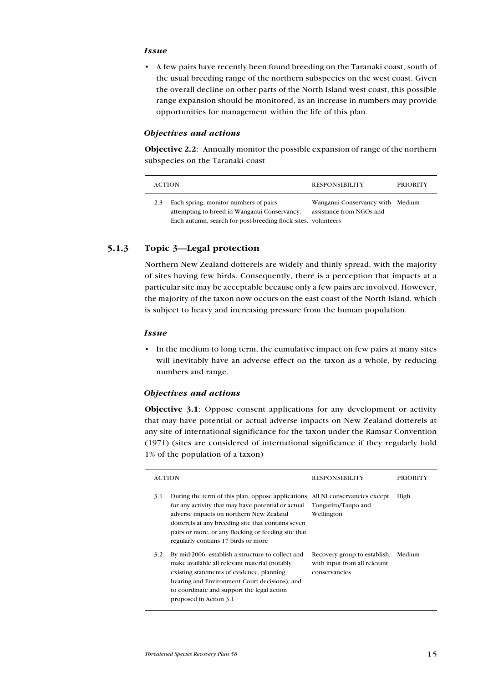#### **Issue**

• A few pairs have recently been found breeding on the Taranaki coast, south of the usual breeding range of the northern subspecies on the west coast. Given the overall decline on other parts of the North Island west coast, this possible range expansion should be monitored, as an increase in numbers may provide opportunities for management within the life of this plan.

#### Objectives and actions

Objective 2.2: Annually monitor the possible expansion of range of the northern subspecies on the Taranaki coast

| <b>ACTION</b> |                                                                                                                                                        | <b>RESPONSIBILITY</b>                                        | <b>PRIORITY</b> |
|---------------|--------------------------------------------------------------------------------------------------------------------------------------------------------|--------------------------------------------------------------|-----------------|
|               | Each spring, monitor numbers of pairs<br>attempting to breed in Wanganui Conservancy.<br>Each autumn, search for post-breeding flock sites. volunteers | Wanganui Conservancy with Medium<br>assistance from NGOs and |                 |

### 5.1.3 Topic 3—Legal protection

Northern New Zealand dotterels are widely and thinly spread, with the majority of sites having few birds. Consequently, there is a perception that impacts at a particular site may be acceptable because only a few pairs are involved. However, the majority of the taxon now occurs on the east coast of the North Island, which is subject to heavy and increasing pressure from the human population.

#### Issue

• In the medium to long term, the cumulative impact on few pairs at many sites will inevitably have an adverse effect on the taxon as a whole, by reducing numbers and range.

#### Objectives and actions

Objective 3.1: Oppose consent applications for any development or activity that may have potential or actual adverse impacts on New Zealand dotterels at any site of international significance for the taxon under the Ramsar Convention (1971) (sites are considered of international significance if they regularly hold 1% of the population of a taxon)

|     | ACTION                                                                                                                                                                                                                                                                                                 | <b>RESPONSIBILITY</b>                                                         | PRIORITY |
|-----|--------------------------------------------------------------------------------------------------------------------------------------------------------------------------------------------------------------------------------------------------------------------------------------------------------|-------------------------------------------------------------------------------|----------|
| 3.1 | During the term of this plan, oppose applications<br>for any activity that may have potential or actual<br>adverse impacts on northern New Zealand<br>dotterels at any breeding site that contains seven<br>pairs or more, or any flocking or feeding site that<br>regularly contains 17 birds or more | All NI conservancies except<br>Tongariro/Taupo and<br>Wellington              | High     |
| 3.2 | By mid-2006, establish a structure to collect and<br>make available all relevant material (notably<br>existing statements of evidence, planning<br>hearing and Environment Court decisions), and<br>to coordinate and support the legal action<br>proposed in Action 3.1                               | Recovery group to establish,<br>with input from all relevant<br>conservancies | Medium   |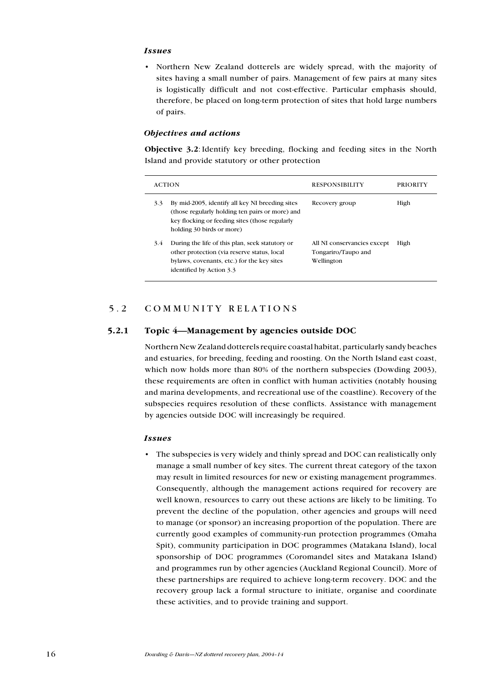#### Issues

Northern New Zealand dotterels are widely spread, with the majority of sites having a small number of pairs. Management of few pairs at many sites is logistically difficult and not cost-effective. Particular emphasis should, therefore, be placed on long-term protection of sites that hold large numbers of pairs. •

#### Objectives and actions

Objective 3.2: Identify key breeding, flocking and feeding sites in the North Island and provide statutory or other protection

| <b>ACTION</b>                                                                                                                                                                            | <b>RESPONSIBILITY</b><br>PRIORITY                                        |
|------------------------------------------------------------------------------------------------------------------------------------------------------------------------------------------|--------------------------------------------------------------------------|
| By mid-2005, identify all key NI breeding sites<br>3.3<br>(those regularly holding ten pairs or more) and<br>key flocking or feeding sites (those regularly<br>holding 30 birds or more) | High<br>Recovery group                                                   |
| During the life of this plan, seek statutory or<br>3.4<br>other protection (via reserve status, local<br>bylaws, covenants, etc.) for the key sites<br>identified by Action 3.3          | High<br>All NI conservancies except<br>Tongariro/Taupo and<br>Wellington |

## 5.2 COMMUNITY RELATIONS

#### 5.2.1 Topic 4—Management by agencies outside DOC

Northern New Zealand dotterels require coastal habitat, particularly sandy beaches and estuaries, for breeding, feeding and roosting. On the North Island east coast, which now holds more than 80% of the northern subspecies (Dowding 2003), these requirements are often in conflict with human activities (notably housing and marina developments, and recreational use of the coastline). Recovery of the subspecies requires resolution of these conflicts. Assistance with management by agencies outside DOC will increasingly be required.

#### Issues

• The subspecies is very widely and thinly spread and DOC can realistically only manage a small number of key sites. The current threat category of the taxon may result in limited resources for new or existing management programmes. Consequently, although the management actions required for recovery are well known, resources to carry out these actions are likely to be limiting. To prevent the decline of the population, other agencies and groups will need to manage (or sponsor) an increasing proportion of the population. There are currently good examples of community-run protection programmes (Omaha Spit), community participation in DOC programmes (Matakana Island), local sponsorship of DOC programmes (Coromandel sites and Matakana Island) and programmes run by other agencies (Auckland Regional Council). More of these partnerships are required to achieve long-term recovery. DOC and the recovery group lack a formal structure to initiate, organise and coordinate these activities, and to provide training and support.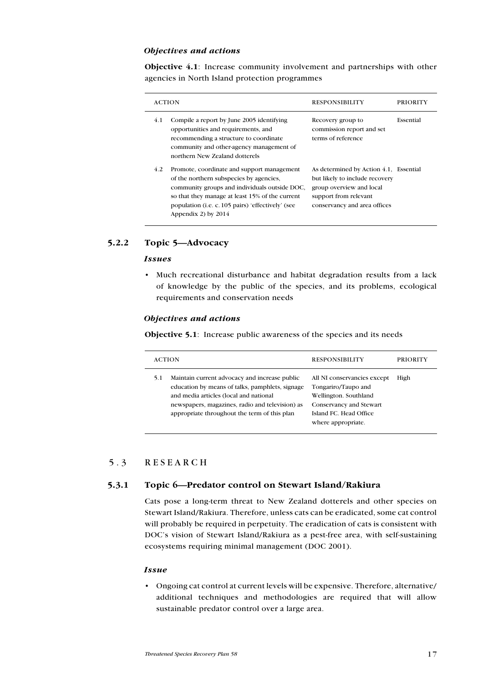#### Objectives and actions

Objective 4.1: Increase community involvement and partnerships with other agencies in North Island protection programmes

|     | <b>ACTION</b>                                                                                                                                                                                                                                                                   | <b>RESPONSIBILITY</b>                                                                                                                                         | <b>PRIORITY</b> |
|-----|---------------------------------------------------------------------------------------------------------------------------------------------------------------------------------------------------------------------------------------------------------------------------------|---------------------------------------------------------------------------------------------------------------------------------------------------------------|-----------------|
| 4.1 | Compile a report by June 2005 identifying<br>opportunities and requirements, and<br>recommending a structure to coordinate<br>community and other-agency management of<br>northern New Zealand dotterels                                                                        | Recovery group to<br>commission report and set<br>terms of reference                                                                                          | Essential       |
| 4.2 | Promote, coordinate and support management<br>of the northern subspecies by agencies,<br>community groups and individuals outside DOC,<br>so that they manage at least 15% of the current<br>population ( <i>i.e. c.</i> 105 pairs) 'effectively' (see<br>Appendix 2) by $2014$ | As determined by Action 4.1, Essential<br>but likely to include recovery<br>group overview and local<br>support from relevant<br>conservancy and area offices |                 |

### 5.2.2 Topic 5—Advocacy

#### Issues

• Much recreational disturbance and habitat degradation results from a lack of knowledge by the public of the species, and its problems, ecological requirements and conservation needs

#### Objectives and actions

Objective 5.1: Increase public awareness of the species and its needs

|     | <b>ACTION</b>                                                                                                                                                                                                                                 | <b>RESPONSIBILITY</b>                                                                                                                                  | <b>PRIORITY</b> |
|-----|-----------------------------------------------------------------------------------------------------------------------------------------------------------------------------------------------------------------------------------------------|--------------------------------------------------------------------------------------------------------------------------------------------------------|-----------------|
| 5.1 | Maintain current advocacy and increase public<br>education by means of talks, pamphlets, signage<br>and media articles (local and national<br>newspapers, magazines, radio and television) as<br>appropriate throughout the term of this plan | All NI conservancies except<br>Tongariro/Taupo and<br>Wellington. Southland<br>Conservancy and Stewart<br>Island FC. Head Office<br>where appropriate. | High            |

## 5.3 RESEARCH

#### 5.3.1 Topic 6—Predator control on Stewart Island/Rakiura

Cats pose a long-term threat to New Zealand dotterels and other species on Stewart Island/Rakiura. Therefore, unless cats can be eradicated, some cat control will probably be required in perpetuity. The eradication of cats is consistent with DOC's vision of Stewart Island/Rakiura as a pest-free area, with self-sustaining ecosystems requiring minimal management (DOC 2001).

#### **Issue**

Ongoing cat control at current levels will be expensive. Therefore, alternative/ •additional techniques and methodologies are required that will allow sustainable predator control over a large area.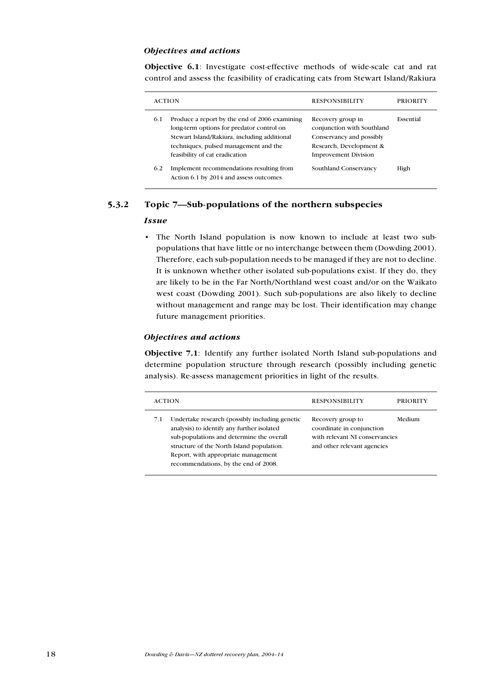#### Objectives and actions

Objective 6.1: Investigate cost-effective methods of wide-scale cat and rat control and assess the feasibility of eradicating cats from Stewart Island/Rakiura

|     | <b>ACTION</b>                                                                                                                                                                                                         | <b>RESPONSIBILITY</b>                                                                                                                 | PRIORITY  |
|-----|-----------------------------------------------------------------------------------------------------------------------------------------------------------------------------------------------------------------------|---------------------------------------------------------------------------------------------------------------------------------------|-----------|
| 6.1 | Produce a report by the end of 2006 examining<br>long-term options for predator control on<br>Stewart Island/Rakiura, including additional<br>techniques, pulsed management and the<br>feasibility of cat eradication | Recovery group in<br>conjunction with Southland<br>Conservancy and possibly<br>Research, Development &<br><b>Improvement Division</b> | Essential |
| 6.2 | Implement recommendations resulting from<br>Action 6.1 by 2014 and assess outcomes                                                                                                                                    | Southland Conservancy                                                                                                                 | High      |

### 5.3.2 Topic 7—Sub-populations of the northern subspecies

#### Issue

• The North Island population is now known to include at least two subpopulations that have little or no interchange between them (Dowding 2001). Therefore, each sub-population needs to be managed if they are not to decline. It is unknown whether other isolated sub-populations exist. If they do, they are likely to be in the Far North/Northland west coast and/or on the Waikato west coast (Dowding 2001). Such sub-populations are also likely to decline without management and range may be lost. Their identification may change future management priorities.

#### Objectives and actions

Objective 7.1: Identify any further isolated North Island sub-populations and determine population structure through research (possibly including genetic analysis). Re-assess management priorities in light of the results.

| <b>ACTION</b>                                                                                                                                                                                                                                                                | <b>RESPONSIBILITY</b>                                                                                           | <b>PRIORITY</b> |
|------------------------------------------------------------------------------------------------------------------------------------------------------------------------------------------------------------------------------------------------------------------------------|-----------------------------------------------------------------------------------------------------------------|-----------------|
| Undertake research (possibly including genetic<br>7.1<br>analysis) to identify any further isolated<br>sub-populations and determine the overall<br>structure of the North Island population.<br>Report, with appropriate management<br>recommendations, by the end of 2008. | Recovery group to<br>coordinate in conjunction<br>with relevant NI conservancies<br>and other relevant agencies | Medium          |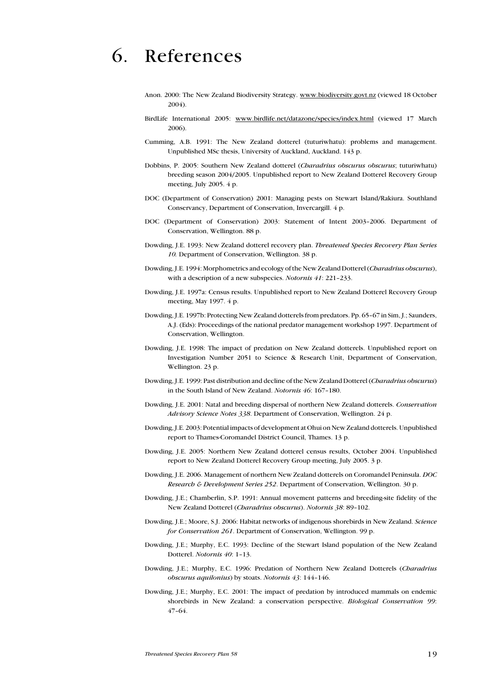# 6. References

- Anon. 2000: The New Zealand Biodiversity Strategy. www.biodiversity.govt.nz (viewed 18 October 2004).
- BirdLife International 2005: www.birdlife.net/datazone/species/index.html (viewed 17 March 2006).
- Cumming, A.B. 1991: The New Zealand dotterel (tuturiwhatu): problems and management. Unpublished MSc thesis, University of Auckland, Auckland. 143 p.
- Dobbins, P. 2005: Southern New Zealand dotterel (Charadrius obscurus obscurus; tuturiwhatu) breeding season 2004/2005. Unpublished report to New Zealand Dotterel Recovery Group meeting, July 2005. 4 p.
- DOC (Department of Conservation) 2001: Managing pests on Stewart Island/Rakiura. Southland Conservancy, Department of Conservation, Invercargill. 4 p.
- DOC (Department of Conservation) 2003: Statement of Intent 2003–2006. Department of Conservation, Wellington. 88 p.
- Dowding, J.E. 1993: New Zealand dotterel recovery plan. Threatened Species Recovery Plan Series 10. Department of Conservation, Wellington. 38 p.
- Dowding, J.E. 1994: Morphometrics and ecology of the New Zealand Dotterel (Charadrius obscurus), with a description of a new subspecies. Notornis 41: 221-233.
- Dowding, J.E. 1997a: Census results. Unpublished report to New Zealand Dotterel Recovery Group meeting, May 1997. 4 p.
- Dowding, J.E. 1997b: Protecting New Zealand dotterels from predators. Pp. 65–67 in Sim, J.; Saunders, A.J. (Eds): Proceedings of the national predator management workshop 1997. Department of Conservation, Wellington.
- Dowding, J.E. 1998: The impact of predation on New Zealand dotterels. Unpublished report on Investigation Number 2051 to Science & Research Unit, Department of Conservation, Wellington. 23 p.
- Dowding, J.E. 1999: Past distribution and decline of the New Zealand Dotterel (Charadrius obscurus) in the South Island of New Zealand. Notornis 46: 167–180.
- Dowding, J.E. 2001: Natal and breeding dispersal of northern New Zealand dotterels. Conservation Advisory Science Notes 338. Department of Conservation, Wellington. 24 p.
- Dowding, J.E. 2003: Potential impacts of development at Ohui on New Zealand dotterels. Unpublished report to Thames-Coromandel District Council, Thames. 13 p.
- Dowding, J.E. 2005: Northern New Zealand dotterel census results, October 2004. Unpublished report to New Zealand Dotterel Recovery Group meeting, July 2005. 3 p.
- Dowding, J.E. 2006. Management of northern New Zealand dotterels on Coromandel Peninsula. DOC Research & Development Series 252. Department of Conservation, Wellington. 30 p.
- Dowding, J.E.; Chamberlin, S.P. 1991: Annual movement patterns and breeding-site fidelity of the New Zealand Dotterel (Charadrius obscurus). Notornis 38: 89–102.
- Dowding, J.E.; Moore, S.J. 2006: Habitat networks of indigenous shorebirds in New Zealand. Science for Conservation 261. Department of Conservation, Wellington. 99 p.
- Dowding, J.E.; Murphy, E.C. 1993: Decline of the Stewart Island population of the New Zealand Dotterel. Notornis 40: 1–13.
- Dowding, J.E.; Murphy, E.C. 1996: Predation of Northern New Zealand Dotterels (Charadrius obscurus aquilonius) by stoats. Notornis 43: 144–146.
- Dowding, J.E.; Murphy, E.C. 2001: The impact of predation by introduced mammals on endemic shorebirds in New Zealand: a conservation perspective. Biological Conservation 99: 47–64.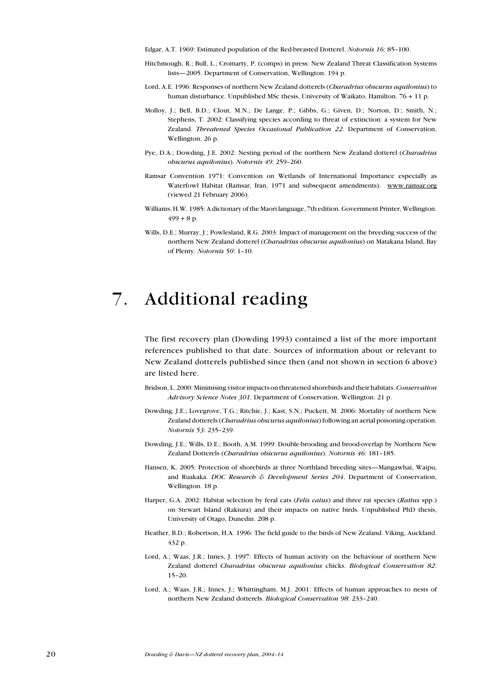Edgar, A.T. 1969: Estimated population of the Red-breasted Dotterel. Notornis 16: 85–100.

- Hitchmough, R.; Bull, L.; Cromarty, P. (comps) in press: New Zealand Threat Classification Systems lists—2005. Department of Conservation, Wellington. 194 p.
- Lord, A.E. 1996: Responses of northern New Zealand dotterels (Charadrius obscurus aquilonius) to human disturbance. Unpublished MSc thesis, University of Waikato, Hamilton. 76 + 11 p.
- Molloy, J.; Bell, B.D.; Clout, M.N.; De Lange, P.; Gibbs, G.; Given, D.; Norton, D.; Smith, N.; Stephens, T. 2002: Classifying species according to threat of extinction: a system for New Zealand. Threatened Species Occasional Publication 22. Department of Conservation, Wellington. 26 p.
- Pye, D.A.; Dowding, J.E. 2002: Nesting period of the northern New Zealand dotterel (Charadrius obscurus aquilonius). Notornis 49: 259–260.
- Ramsar Convention 1971: Convention on Wetlands of International Importance especially as Waterfowl Habitat (Ramsar, Iran, 1971 and subsequent amendments). www.ramsar.org (viewed 21 February 2006).
- Williams, H.W. 1985: A dictionary of the Maori language, 7th edition. Government Printer, Wellington.  $499 + 8 p.$
- Wills, D.E.; Murray, J.; Powlesland, R.G. 2003: Impact of management on the breeding success of the northern New Zealand dotterel (Charadrius obscurus aquilonius) on Matakana Island, Bay of Plenty. Notornis 50: 1–10.

## 7. Additional reading

The first recovery plan (Dowding 1993) contained a list of the more important references published to that date. Sources of information about or relevant to New Zealand dotterels published since then (and not shown in section 6 above) are listed here.

- Bridson, L. 2000: Minimising visitor impacts on threatened shorebirds and their habitats. Conservation Advisory Science Notes 301. Department of Conservation, Wellington. 21 p.
- Dowding, J.E.; Lovegrove, T.G.; Ritchie, J.; Kast, S.N.; Puckett, M. 2006: Mortality of northern New Zealand dotterels (Charadrius obscurus aquilonius) following an aerial poisoning operation. Notornis 53: 235–239.
- Dowding, J.E.; Wills, D.E.; Booth, A.M. 1999: Double-brooding and brood-overlap by Northern New Zealand Dotterels (Charadrius obscurus aquilonius). Notornis 46: 181–185.
- Hansen, K. 2005: Protection of shorebirds at three Northland breeding sites—Mangawhai, Waipu, and Ruakaka. DOC Research & Development Series 204. Department of Conservation, Wellington. 18 p.
- Harper, G.A. 2002: Habitat selection by feral cats (Felis catus) and three rat species (Rattus spp.) on Stewart Island (Rakiura) and their impacts on native birds. Unpublished PhD thesis, University of Otago, Dunedin. 208 p.
- Heather, B.D.; Robertson, H.A. 1996: The field guide to the birds of New Zealand. Viking, Auckland. 432 p.
- Lord, A.; Waas, J.R.; Innes, J. 1997: Effects of human activity on the behaviour of northern New Zealand dotterel Charadrius obscurus aquilonius chicks. Biological Conservation 82: 15–20.
- Lord, A.; Waas, J.R.; Innes, J.; Whittingham, M.J. 2001: Effects of human approaches to nests of northern New Zealand dotterels. Biological Conservation 98: 233–240.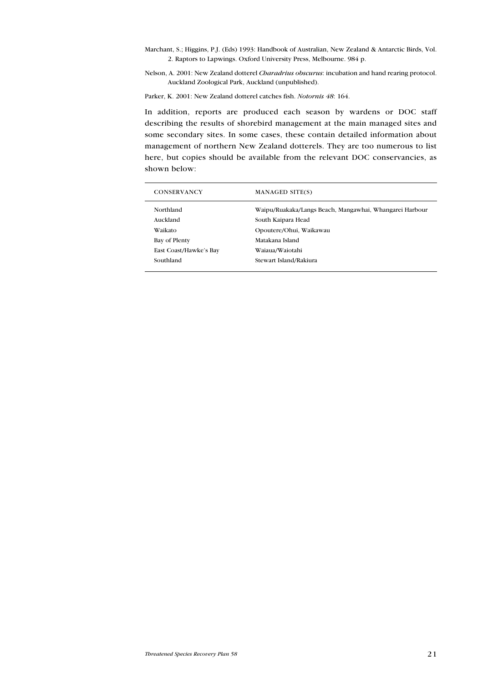Marchant, S.; Higgins, P.J. (Eds) 1993: Handbook of Australian, New Zealand & Antarctic Birds, Vol. 2. Raptors to Lapwings. Oxford University Press, Melbourne. 984 p.

Nelson, A. 2001: New Zealand dotterel Charadrius obscurus: incubation and hand rearing protocol. Auckland Zoological Park, Auckland (unpublished).

Parker, K. 2001: New Zealand dotterel catches fish. Notornis 48: 164.

In addition, reports are produced each season by wardens or DOC staff describing the results of shorebird management at the main managed sites and some secondary sites. In some cases, these contain detailed information about management of northern New Zealand dotterels. They are too numerous to list here, but copies should be available from the relevant DOC conservancies, as shown below:

| <b>CONSERVANCY</b>     | <b>MANAGED SITE(S)</b>                                  |
|------------------------|---------------------------------------------------------|
| Northland              | Waipu/Ruakaka/Langs Beach, Mangawhai, Whangarei Harbour |
| Auckland               | South Kaipara Head                                      |
| Waikato                | Opoutere/Ohui, Waikawau                                 |
| Bay of Plenty          | Matakana Island                                         |
| East Coast/Hawke's Bay | Waiaua/Waiotahi                                         |
| Southland              | Stewart Island/Rakiura                                  |
|                        |                                                         |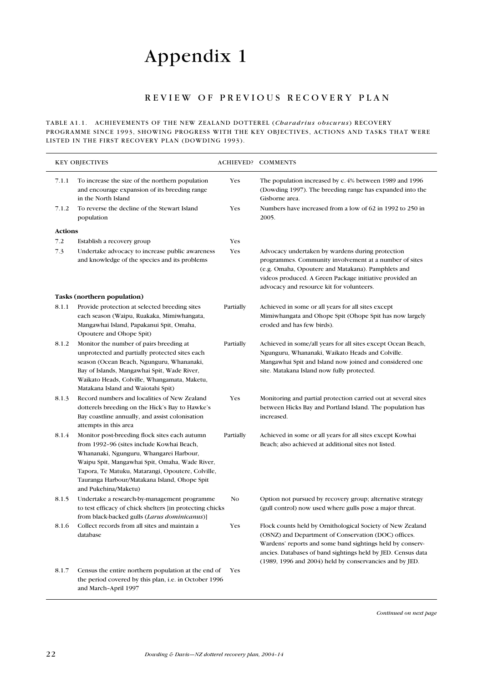# Appendix 1

## REVIEW OF PREVIOUS RECOVERY PLAN

TABLE A1.1. ACHIEVEMENTS OF THE NEW ZEALAND DOTTEREL (Charadrius obscurus) RECOVERY programme since 1993, showing progress with the key objectives, actions and tasks that were listed in the first recovery plan (Dowding 1993).

|                | <b>KEY OBJECTIVES</b>                                                                                                                                                                                                                                                                                                |            | <b>ACHIEVED? COMMENTS</b>                                                                                                                                                                                                                                                                                  |
|----------------|----------------------------------------------------------------------------------------------------------------------------------------------------------------------------------------------------------------------------------------------------------------------------------------------------------------------|------------|------------------------------------------------------------------------------------------------------------------------------------------------------------------------------------------------------------------------------------------------------------------------------------------------------------|
| 7.1.1          | To increase the size of the northern population<br>and encourage expansion of its breeding range<br>in the North Island                                                                                                                                                                                              | Yes        | The population increased by c. 4% between 1989 and 1996<br>(Dowding 1997). The breeding range has expanded into the<br>Gisborne area.                                                                                                                                                                      |
| 7.1.2          | To reverse the decline of the Stewart Island<br>population                                                                                                                                                                                                                                                           | Yes        | Numbers have increased from a low of 62 in 1992 to 250 in<br>2005.                                                                                                                                                                                                                                         |
| <b>Actions</b> |                                                                                                                                                                                                                                                                                                                      |            |                                                                                                                                                                                                                                                                                                            |
| 7.2            | Establish a recovery group                                                                                                                                                                                                                                                                                           | Yes        |                                                                                                                                                                                                                                                                                                            |
| 7.3            | Undertake advocacy to increase public awareness<br>and knowledge of the species and its problems                                                                                                                                                                                                                     | Yes        | Advocacy undertaken by wardens during protection<br>programmes. Community involvement at a number of sites<br>(e.g. Omaha, Opoutere and Matakana). Pamphlets and<br>videos produced. A Green Package initiative provided an<br>advocacy and resource kit for volunteers.                                   |
|                | Tasks (northern population)                                                                                                                                                                                                                                                                                          |            |                                                                                                                                                                                                                                                                                                            |
| 8.1.1          | Provide protection at selected breeding sites<br>each season (Waipu, Ruakaka, Mimiwhangata,<br>Mangawhai Island, Papakanui Spit, Omaha,<br>Opoutere and Ohope Spit)                                                                                                                                                  | Partially  | Achieved in some or all years for all sites except<br>Mimiwhangata and Ohope Spit (Ohope Spit has now largely<br>eroded and has few birds).                                                                                                                                                                |
| 8.1.2          | Monitor the number of pairs breeding at<br>unprotected and partially protected sites each<br>season (Ocean Beach, Ngunguru, Whananaki,<br>Bay of Islands, Mangawhai Spit, Wade River,<br>Waikato Heads, Colville, Whangamata, Maketu,<br>Matakana Island and Waiotahi Spit)                                          | Partially  | Achieved in some/all years for all sites except Ocean Beach,<br>Ngunguru, Whananaki, Waikato Heads and Colville.<br>Mangawhai Spit and Island now joined and considered one<br>site. Matakana Island now fully protected.                                                                                  |
| 8.1.3          | Record numbers and localities of New Zealand<br>dotterels breeding on the Hick's Bay to Hawke's<br>Bay coastline annually, and assist colonisation<br>attempts in this area                                                                                                                                          | Yes        | Monitoring and partial protection carried out at several sites<br>between Hicks Bay and Portland Island. The population has<br>increased.                                                                                                                                                                  |
| 8.1.4          | Monitor post-breeding flock sites each autumn<br>from 1992-96 (sites include Kowhai Beach,<br>Whananaki, Ngunguru, Whangarei Harbour,<br>Waipu Spit, Mangawhai Spit, Omaha, Wade River,<br>Tapora, Te Matuku, Matarangi, Opoutere, Colville,<br>Tauranga Harbour/Matakana Island, Ohope Spit<br>and Pukehina/Maketu) | Partially  | Achieved in some or all years for all sites except Kowhai<br>Beach; also achieved at additional sites not listed.                                                                                                                                                                                          |
| 8.1.5          | Undertake a research-by-management programme<br>to test efficacy of chick shelters [in protecting chicks]<br>from black-backed gulls (Larus dominicanus)]                                                                                                                                                            | No         | Option not pursued by recovery group; alternative strategy<br>(gull control) now used where gulls pose a major threat.                                                                                                                                                                                     |
| 8.1.6          | Collect records from all sites and maintain a<br>database                                                                                                                                                                                                                                                            | Yes        | Flock counts held by Ornithological Society of New Zealand<br>(OSNZ) and Department of Conservation (DOC) offices.<br>Wardens' reports and some band sightings held by conserv-<br>ancies. Databases of band sightings held by JED. Census data<br>(1989, 1996 and 2004) held by conservancies and by JED. |
| 8.1.7          | Census the entire northern population at the end of<br>the period covered by this plan, i.e. in October 1996<br>and March-April 1997                                                                                                                                                                                 | <b>Yes</b> |                                                                                                                                                                                                                                                                                                            |

Continued on next page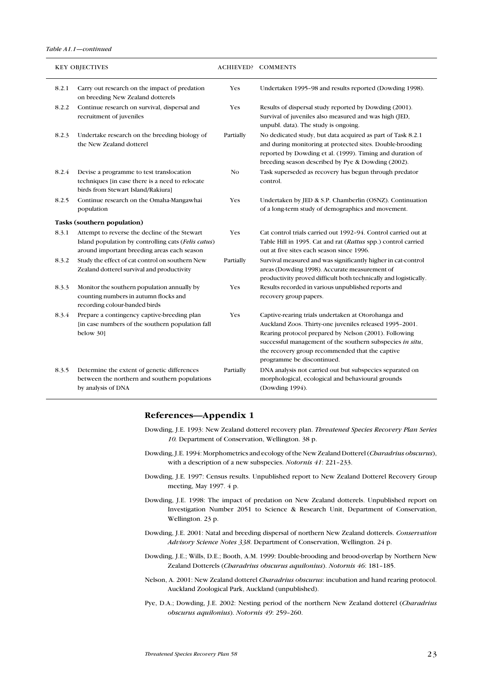#### Table A1.1—continued

|       | <b>KEY OBJECTIVES</b>                                                                                                                               |           | <b>ACHIEVED? COMMENTS</b>                                                                                                                                                                                                                                                                                             |
|-------|-----------------------------------------------------------------------------------------------------------------------------------------------------|-----------|-----------------------------------------------------------------------------------------------------------------------------------------------------------------------------------------------------------------------------------------------------------------------------------------------------------------------|
| 8.2.1 | Carry out research on the impact of predation<br>on breeding New Zealand dotterels                                                                  | Yes       | Undertaken 1995-98 and results reported (Dowding 1998).                                                                                                                                                                                                                                                               |
| 8.2.2 | Continue research on survival, dispersal and<br>recruitment of juveniles                                                                            | Yes       | Results of dispersal study reported by Dowding (2001).<br>Survival of juveniles also measured and was high (JED,<br>unpubl. data). The study is ongoing.                                                                                                                                                              |
| 8.2.3 | Undertake research on the breeding biology of<br>the New Zealand dotterel                                                                           | Partially | No dedicated study, but data acquired as part of Task 8.2.1<br>and during monitoring at protected sites. Double-brooding<br>reported by Dowding et al. (1999). Timing and duration of<br>breeding season described by Pye & Dowding (2002).                                                                           |
| 8.2.4 | Devise a programme to test translocation<br>techniques [in case there is a need to relocate<br>birds from Stewart Island/Rakiura]                   | No        | Task superseded as recovery has begun through predator<br>control.                                                                                                                                                                                                                                                    |
| 8.2.5 | Continue research on the Omaha-Mangawhai<br>population                                                                                              | Yes       | Undertaken by JED & S.P. Chamberlin (OSNZ). Continuation<br>of a long-term study of demographics and movement.                                                                                                                                                                                                        |
|       | Tasks (southern population)                                                                                                                         |           |                                                                                                                                                                                                                                                                                                                       |
| 8.3.1 | Attempt to reverse the decline of the Stewart<br>Island population by controlling cats (Felis catus)<br>around important breeding areas each season | Yes       | Cat control trials carried out 1992-94. Control carried out at<br>Table Hill in 1995. Cat and rat (Rattus spp.) control carried<br>out at five sites each season since 1996.                                                                                                                                          |
| 8.3.2 | Study the effect of cat control on southern New<br>Zealand dotterel survival and productivity                                                       | Partially | Survival measured and was significantly higher in cat-control<br>areas (Dowding 1998). Accurate measurement of<br>productivity proved difficult both technically and logistically.                                                                                                                                    |
| 8.3.3 | Monitor the southern population annually by<br>counting numbers in autumn flocks and<br>recording colour-banded birds                               | Yes       | Results recorded in various unpublished reports and<br>recovery group papers.                                                                                                                                                                                                                                         |
| 8.3.4 | Prepare a contingency captive-breeding plan<br>[in case numbers of the southern population fall]<br>below 30]                                       | Yes       | Captive-rearing trials undertaken at Otorohanga and<br>Auckland Zoos. Thirty-one juveniles released 1995-2001.<br>Rearing protocol prepared by Nelson (2001). Following<br>successful management of the southern subspecies in situ,<br>the recovery group recommended that the captive<br>programme be discontinued. |
| 8.3.5 | Determine the extent of genetic differences<br>between the northern and southern populations<br>by analysis of DNA                                  | Partially | DNA analysis not carried out but subspecies separated on<br>morphological, ecological and behavioural grounds<br>(Dowding 1994).                                                                                                                                                                                      |

#### References—Appendix 1

- Dowding, J.E. 1993: New Zealand dotterel recovery plan. Threatened Species Recovery Plan Series 10. Department of Conservation, Wellington. 38 p.
- Dowding, J.E. 1994: Morphometrics and ecology of the New Zealand Dotterel (Charadrius obscurus), with a description of a new subspecies. Notornis 41: 221-233.
- Dowding, J.E. 1997: Census results. Unpublished report to New Zealand Dotterel Recovery Group meeting, May 1997. 4 p.
- Dowding, J.E. 1998: The impact of predation on New Zealand dotterels. Unpublished report on Investigation Number 2051 to Science & Research Unit, Department of Conservation, Wellington. 23 p.
- Dowding, J.E. 2001: Natal and breeding dispersal of northern New Zealand dotterels. Conservation Advisory Science Notes 338. Department of Conservation, Wellington. 24 p.
- Dowding, J.E.; Wills, D.E.; Booth, A.M. 1999: Double-brooding and brood-overlap by Northern New Zealand Dotterels (Charadrius obscurus aquilonius). Notornis 46: 181–185.
- Nelson, A. 2001: New Zealand dotterel Charadrius obscurus: incubation and hand rearing protocol. Auckland Zoological Park, Auckland (unpublished).
- Pye, D.A.; Dowding, J.E. 2002: Nesting period of the northern New Zealand dotterel (Charadrius obscurus aquilonius). Notornis 49: 259–260.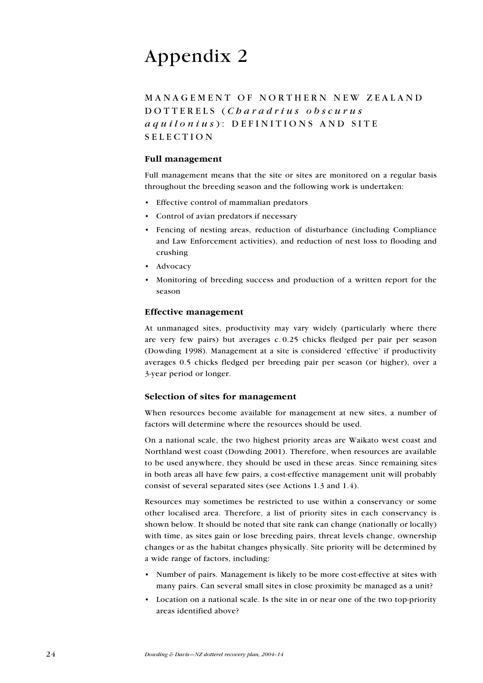## Appendix 2

MANAGEMENT OF NORTHERN NEW ZEALAND DOTTERELS (Charadrius obscurus  $a$  q  $u$  i l o  $n$  i  $u$  s  $)$ : DEFINITIONS AND SITE **SELECTION** 

#### Full management

Full management means that the site or sites are monitored on a regular basis throughout the breeding season and the following work is undertaken:

- Effective control of mammalian predators
- Control of avian predators if necessary
- Fencing of nesting areas, reduction of disturbance (including Compliance and Law Enforcement activities), and reduction of nest loss to flooding and crushing
- Advocacy
- Monitoring of breeding success and production of a written report for the season •

#### Effective management

At unmanaged sites, productivity may vary widely (particularly where there are very few pairs) but averages c. 0.25 chicks fledged per pair per season (Dowding 1998). Management at a site is considered 'effective' if productivity averages 0.5 chicks fledged per breeding pair per season (or higher), over a 3-year period or longer.

#### Selection of sites for management

When resources become available for management at new sites, a number of factors will determine where the resources should be used.

On a national scale, the two highest priority areas are Waikato west coast and Northland west coast (Dowding 2001). Therefore, when resources are available to be used anywhere, they should be used in these areas. Since remaining sites in both areas all have few pairs, a cost-effective management unit will probably consist of several separated sites (see Actions 1.3 and 1.4).

Resources may sometimes be restricted to use within a conservancy or some other localised area. Therefore, a list of priority sites in each conservancy is shown below. It should be noted that site rank can change (nationally or locally) with time, as sites gain or lose breeding pairs, threat levels change, ownership changes or as the habitat changes physically. Site priority will be determined by a wide range of factors, including:

- Number of pairs. Management is likely to be more cost-effective at sites with many pairs. Can several small sites in close proximity be managed as a unit? •
- Location on a national scale. Is the site in or near one of the two top-priority areas identified above?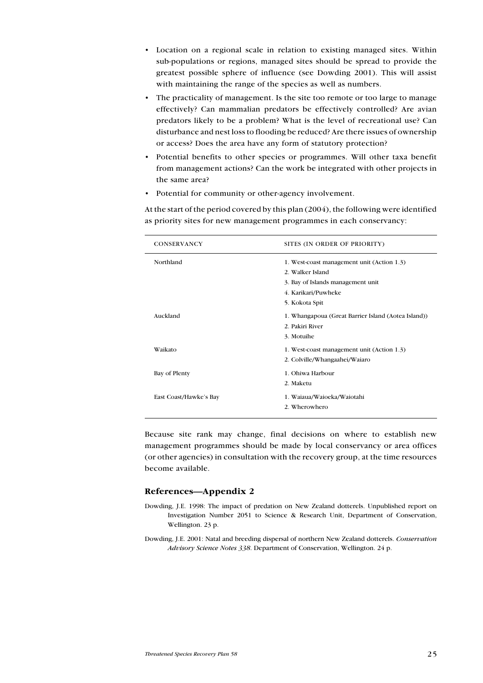- Location on a regional scale in relation to existing managed sites. Within sub-populations or regions, managed sites should be spread to provide the greatest possible sphere of influence (see Dowding 2001). This will assist with maintaining the range of the species as well as numbers.
- The practicality of management. Is the site too remote or too large to manage effectively? Can mammalian predators be effectively controlled? Are avian predators likely to be a problem? What is the level of recreational use? Can disturbance and nest loss to flooding be reduced? Are there issues of ownership or access? Does the area have any form of statutory protection?
- Potential benefits to other species or programmes. Will other taxa benefit from management actions? Can the work be integrated with other projects in the same area? •
- Potential for community or other-agency involvement. •

| CONSERVANCY            | SITES (IN ORDER OF PRIORITY)                        |
|------------------------|-----------------------------------------------------|
| Northland              | 1. West-coast management unit (Action 1.3)          |
|                        | 2. Walker Island                                    |
|                        | 3. Bay of Islands management unit                   |
|                        | 4. Karikari/Puwheke                                 |
|                        | 5. Kokota Spit                                      |
| Auckland               | 1. Whangapoua (Great Barrier Island (Aotea Island)) |
|                        | 2. Pakiri River                                     |
|                        | 3. Motuihe                                          |
| Waikato                | 1. West-coast management unit (Action 1.3)          |
|                        | 2. Colville/Whangaahei/Waiaro                       |
| Bay of Plenty          | 1. Ohiwa Harbour                                    |
|                        | 2. Maketu                                           |
| East Coast/Hawke's Bay | 1. Waiaua/Waioeka/Waiotahi                          |
|                        | 2. Wherowhero                                       |
|                        |                                                     |

At the start of the period covered by this plan (2004), the following were identified as priority sites for new management programmes in each conservancy:

Because site rank may change, final decisions on where to establish new management programmes should be made by local conservancy or area offices (or other agencies) in consultation with the recovery group, at the time resources become available.

#### References—Appendix 2

- Dowding, J.E. 1998: The impact of predation on New Zealand dotterels. Unpublished report on Investigation Number 2051 to Science & Research Unit, Department of Conservation, Wellington. 23 p.
- Dowding, J.E. 2001: Natal and breeding dispersal of northern New Zealand dotterels. Conservation Advisory Science Notes 338. Department of Conservation, Wellington. 24 p.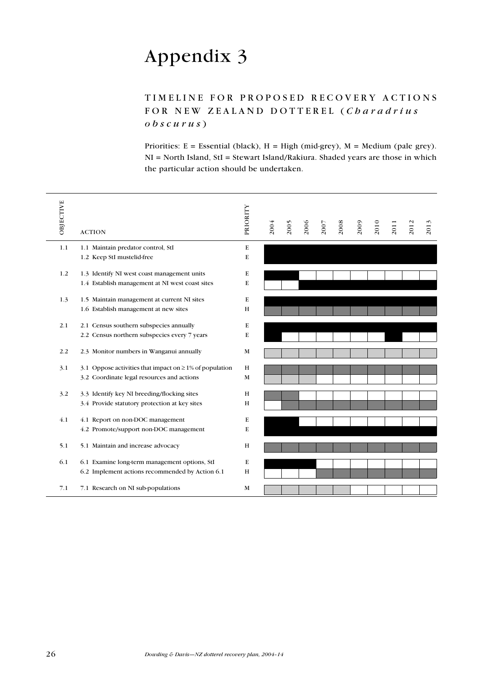## Appendix 3

## TIMELINE FOR PROPOSED RECOVERY ACTIONS FOR NEW ZEALAND DOTTEREL (Charadrius  $\theta$  b s c u r u s  $)$

Priorities:  $E = E$ ssential (black),  $H = High (mid-grey)$ ,  $M = Medium (pale grey)$ . NI = North Island, StI = Stewart Island/Rakiura. Shaded years are those in which the particular action should be undertaken.

| OBJECTIVE | <b>ACTION</b>                                                | PRIORITY | 2004 | 2005 | 2006 | 2007 | 2008 | 2009 | 2010 | 2011 | $\mathbf{C}$<br>201 | $\omega$<br>201 |
|-----------|--------------------------------------------------------------|----------|------|------|------|------|------|------|------|------|---------------------|-----------------|
| 1.1       | 1.1 Maintain predator control, StI                           | E        |      |      |      |      |      |      |      |      |                     |                 |
|           | 1.2 Keep StI mustelid-free                                   | E        |      |      |      |      |      |      |      |      |                     |                 |
| 1.2       | 1.3 Identify NI west coast management units                  | E        |      |      |      |      |      |      |      |      |                     |                 |
|           | 1.4 Establish management at NI west coast sites              | E        |      |      |      |      |      |      |      |      |                     |                 |
| 1.3       | 1.5 Maintain management at current NI sites                  | E        |      |      |      |      |      |      |      |      |                     |                 |
|           | 1.6 Establish management at new sites                        | H        |      |      |      |      |      |      |      |      |                     |                 |
| 2.1       | 2.1 Census southern subspecies annually                      | E        |      |      |      |      |      |      |      |      |                     |                 |
|           | 2.2 Census northern subspecies every 7 years                 | E        |      |      |      |      |      |      |      |      |                     |                 |
| 2.2       | 2.3 Monitor numbers in Wanganui annually                     | M        |      |      |      |      |      |      |      |      |                     |                 |
| 3.1       | 3.1 Oppose activities that impact on $\geq$ 1% of population | H        |      |      |      |      |      |      |      |      |                     |                 |
|           | 3.2 Coordinate legal resources and actions                   | M        |      |      |      |      |      |      |      |      |                     |                 |
| 3.2       | 3.3 Identify key NI breeding/flocking sites                  | H        |      |      |      |      |      |      |      |      |                     |                 |
|           | 3.4 Provide statutory protection at key sites                | H        |      |      |      |      |      |      |      |      |                     |                 |
| 4.1       | 4.1 Report on non-DOC management                             | E        |      |      |      |      |      |      |      |      |                     |                 |
|           | 4.2 Promote/support non-DOC management                       | E        |      |      |      |      |      |      |      |      |                     |                 |
| 5.1       | 5.1 Maintain and increase advocacy                           | H        |      |      |      |      |      |      |      |      |                     |                 |
| 6.1       | 6.1 Examine long-term management options, StI                | E        |      |      |      |      |      |      |      |      |                     |                 |
|           | 6.2 Implement actions recommended by Action 6.1              | H        |      |      |      |      |      |      |      |      |                     |                 |
| 7.1       | 7.1 Research on NI sub-populations                           | M        |      |      |      |      |      |      |      |      |                     |                 |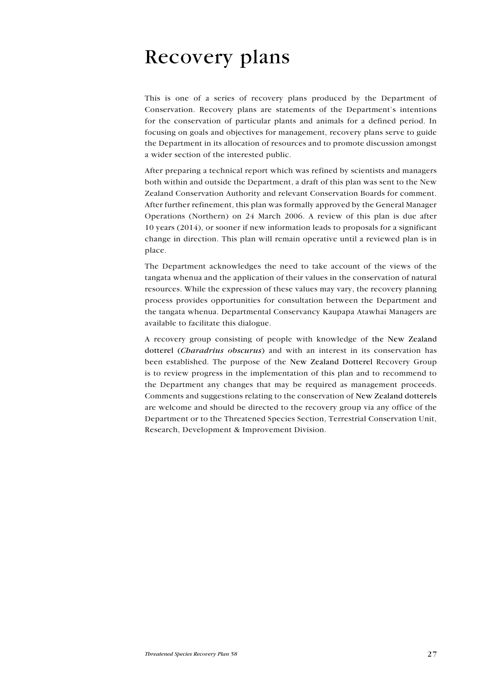# Recovery plans

This is one of a series of recovery plans produced by the Department of Conservation. Recovery plans are statements of the Department's intentions for the conservation of particular plants and animals for a defined period. In focusing on goals and objectives for management, recovery plans serve to guide the Department in its allocation of resources and to promote discussion amongst a wider section of the interested public.

After preparing a technical report which was refined by scientists and managers both within and outside the Department, a draft of this plan was sent to the New Zealand Conservation Authority and relevant Conservation Boards for comment. After further refinement, this plan was formally approved by the General Manager Operations (Northern) on 24 March 2006. A review of this plan is due after 10 years (2014), or sooner if new information leads to proposals for a significant change in direction. This plan will remain operative until a reviewed plan is in place.

The Department acknowledges the need to take account of the views of the tangata whenua and the application of their values in the conservation of natural resources. While the expression of these values may vary, the recovery planning process provides opportunities for consultation between the Department and the tangata whenua. Departmental Conservancy Kaupapa Atawhai Managers are available to facilitate this dialogue.

A recovery group consisting of people with knowledge of the New Zealand dotterel (*Charadrius obscurus*) and with an interest in its conservation has been established. The purpose of the New Zealand Dotterel Recovery Group is to review progress in the implementation of this plan and to recommend to the Department any changes that may be required as management proceeds. Comments and suggestions relating to the conservation of New Zealand dotterels are welcome and should be directed to the recovery group via any office of the Department or to the Threatened Species Section, Terrestrial Conservation Unit, Research, Development & Improvement Division.